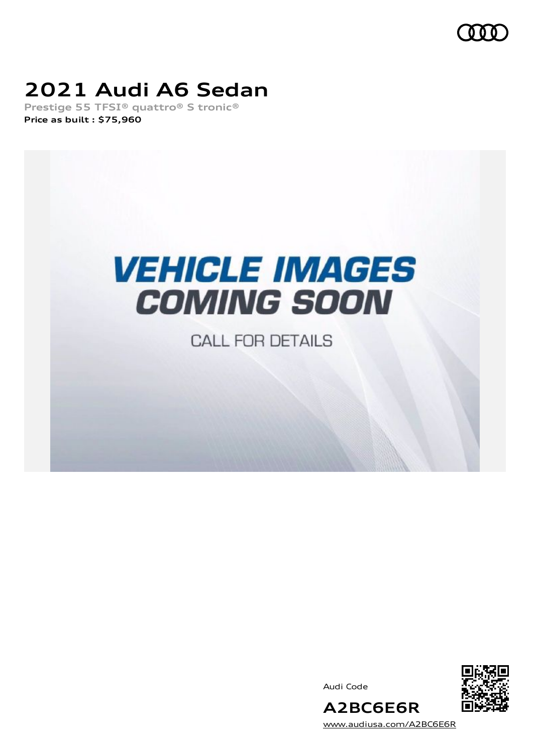

# **2021 Audi A6 Sedan**

**Prestige 55 TFSI® quattro® S tronic® Price as built [:](#page-8-0) \$75,960**



**CALL FOR DETAILS** 

Audi Code



[www.audiusa.com/A2BC6E6R](https://www.audiusa.com/A2BC6E6R)

**A2BC6E6R**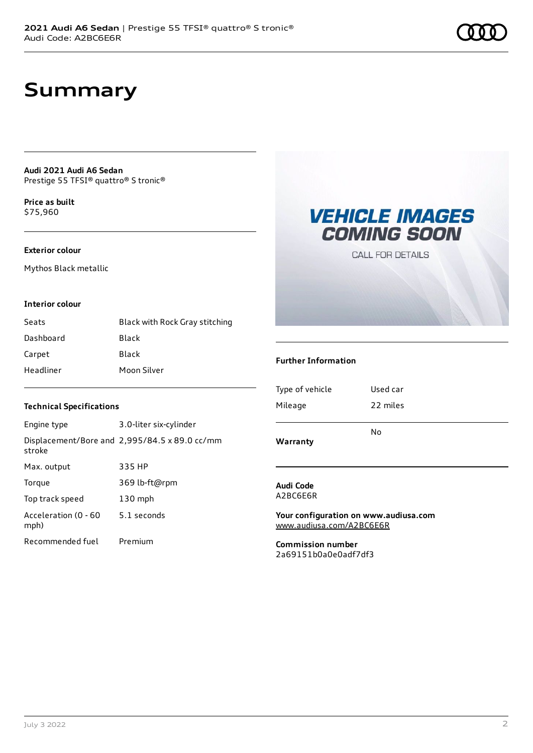## **Summary**

**Audi 2021 Audi A6 Sedan** Prestige 55 TFSI® quattro® S tronic®

**Price as buil[t](#page-8-0)** \$75,960

#### **Exterior colour**

Mythos Black metallic

### **Interior colour**

| Seats     | Black with Rock Gray stitching |
|-----------|--------------------------------|
| Dashboard | Black                          |
| Carpet    | Black                          |
| Headliner | Moon Silver                    |

### **Technical Specifications**

| Engine type                  | 3.0-liter six-cylinder                                       |
|------------------------------|--------------------------------------------------------------|
| stroke                       | Displacement/Bore and $2,995/84.5 \times 89.0 \text{ cc/mm}$ |
| Max. output                  | 335 HP                                                       |
| Torque                       | 369 lb-ft@rpm                                                |
| Top track speed              | $130$ mph                                                    |
| Acceleration (0 - 60<br>mph) | 5.1 seconds                                                  |
| Recommended fuel             | Premium                                                      |

# **VEHICLE IMAGES COMING SOON**

**CALL FOR DETAILS** 

### **Further Information**

| Warranty        | N٥       |
|-----------------|----------|
| Mileage         | 22 miles |
| Type of vehicle | Used car |

**Audi Code**

A2BC6E6R

**Your configuration on www.audiusa.com** [www.audiusa.com/A2BC6E6R](https://www.audiusa.com/A2BC6E6R)

**Commission number** 2a69151b0a0e0adf7df3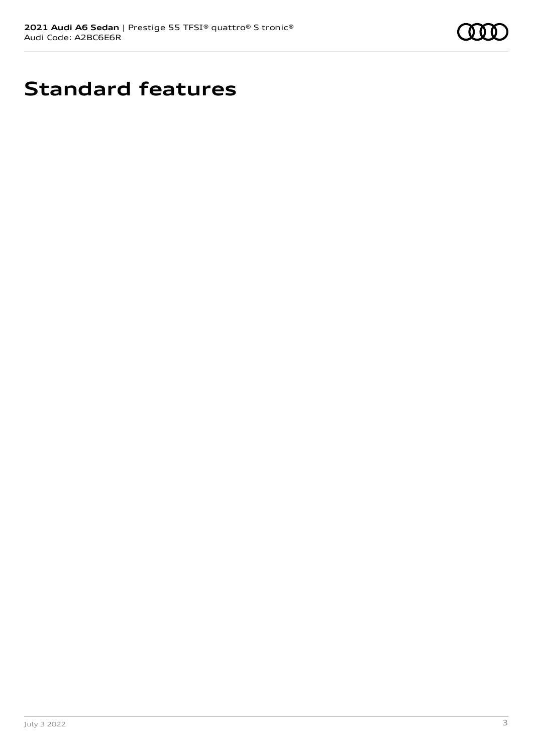

# **Standard features**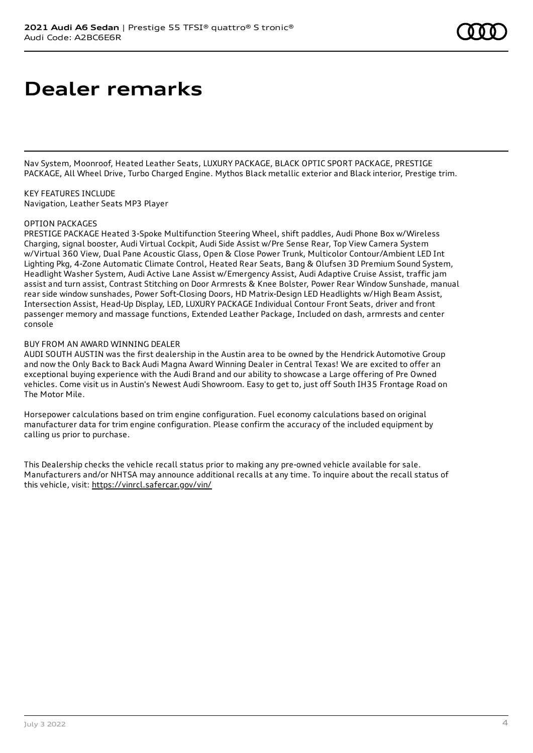# **Dealer remarks**

Nav System, Moonroof, Heated Leather Seats, LUXURY PACKAGE, BLACK OPTIC SPORT PACKAGE, PRESTIGE PACKAGE, All Wheel Drive, Turbo Charged Engine. Mythos Black metallic exterior and Black interior, Prestige trim.

KEY FEATURES INCLUDE Navigation, Leather Seats MP3 Player

#### OPTION PACKAGES

PRESTIGE PACKAGE Heated 3-Spoke Multifunction Steering Wheel, shift paddles, Audi Phone Box w/Wireless Charging, signal booster, Audi Virtual Cockpit, Audi Side Assist w/Pre Sense Rear, Top View Camera System w/Virtual 360 View, Dual Pane Acoustic Glass, Open & Close Power Trunk, Multicolor Contour/Ambient LED Int Lighting Pkg, 4-Zone Automatic Climate Control, Heated Rear Seats, Bang & Olufsen 3D Premium Sound System, Headlight Washer System, Audi Active Lane Assist w/Emergency Assist, Audi Adaptive Cruise Assist, traffic jam assist and turn assist, Contrast Stitching on Door Armrests & Knee Bolster, Power Rear Window Sunshade, manual rear side window sunshades, Power Soft-Closing Doors, HD Matrix-Design LED Headlights w/High Beam Assist, Intersection Assist, Head-Up Display, LED, LUXURY PACKAGE Individual Contour Front Seats, driver and front passenger memory and massage functions, Extended Leather Package, Included on dash, armrests and center console

#### BUY FROM AN AWARD WINNING DEALER

AUDI SOUTH AUSTIN was the first dealership in the Austin area to be owned by the Hendrick Automotive Group and now the Only Back to Back Audi Magna Award Winning Dealer in Central Texas! We are excited to offer an exceptional buying experience with the Audi Brand and our ability to showcase a Large offering of Pre Owned vehicles. Come visit us in Austin's Newest Audi Showroom. Easy to get to, just off South IH35 Frontage Road on The Motor Mile.

Horsepower calculations based on trim engine configuration. Fuel economy calculations based on original manufacturer data for trim engine configuration. Please confirm the accuracy of the included equipment by calling us prior to purchase.

This Dealership checks the vehicle recall status prior to making any pre-owned vehicle available for sale. Manufacturers and/or NHTSA may announce additional recalls at any time. To inquire about the recall status of this vehicle, visit: <https://vinrcl.safercar.gov/vin/>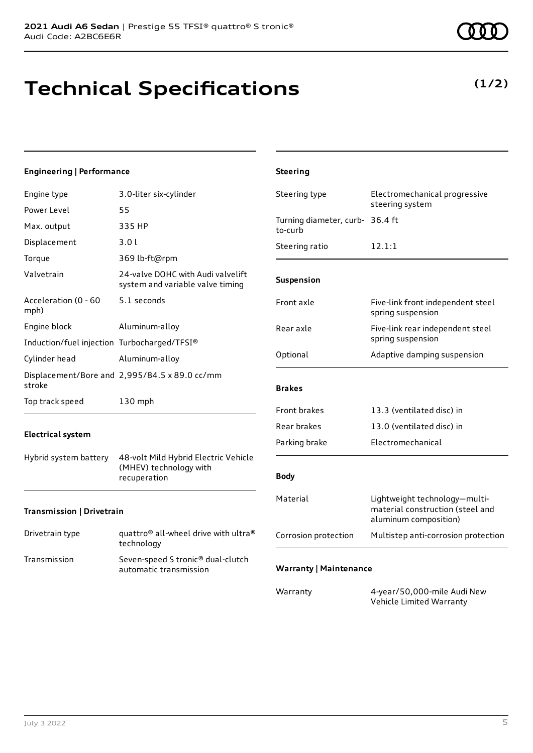# **Technical Specifications**

### **Engineering | Performance**

| Engine type                                 | 3.0-liter six-cylinder                                                | Steering type                      |
|---------------------------------------------|-----------------------------------------------------------------------|------------------------------------|
| Power Level                                 | 55                                                                    |                                    |
| Max. output                                 | 335 HP                                                                | Turning diameter, curb-<br>to-curb |
| Displacement                                | 3.0l                                                                  | Steering ratio                     |
| Torque                                      | 369 lb-ft@rpm                                                         |                                    |
| Valvetrain                                  | 24-valve DOHC with Audi valvelift<br>system and variable valve timing | <b>Suspension</b>                  |
| Acceleration (0 - 60<br>mph)                | 5.1 seconds                                                           | Front axle                         |
| Engine block                                | Aluminum-alloy                                                        | Rear axle                          |
| Induction/fuel injection Turbocharged/TFSI® |                                                                       |                                    |
| Cylinder head                               | Aluminum-alloy                                                        | Optional                           |
|                                             | Displacement/Bore and 2,995/84.5 x 89.0 cc/mm                         |                                    |
| stroke                                      |                                                                       | <b>Brakes</b>                      |
| Top track speed                             | 130 mph                                                               | <b>Front brakes</b>                |
|                                             |                                                                       | Rear brakes                        |
| <b>Electrical system</b>                    |                                                                       | Parking brake                      |
| Hybrid system battery                       | 48-volt Mild Hybrid Electric Vehicle<br>(MHEV) technology with        |                                    |
|                                             | recuperation                                                          | <b>Body</b>                        |
|                                             |                                                                       | Material                           |

**Steering**

### **Transmission | Drivetrain**

| Drivetrain type | quattro <sup>®</sup> all-wheel drive with ultra <sup>®</sup><br>technology |
|-----------------|----------------------------------------------------------------------------|
| Transmission    | Seven-speed S tronic <sup>®</sup> dual-clutch<br>automatic transmission    |



### Electromechanical progressive steering system 36.4 ft  $12.1:1$ Five-link front independent steel spring suspension Five-link rear independent steel spring suspension Adaptive damping suspension 13.3 (ventilated disc) in 13.0 (ventilated disc) in **Electromechanical** Lightweight technology—multimaterial construction (steel and aluminum composition) Corrosion protection Multistep anti-corrosion protection **Warranty | Maintenance** Warranty 4-year/50,000-mile Audi New

Vehicle Limited Warranty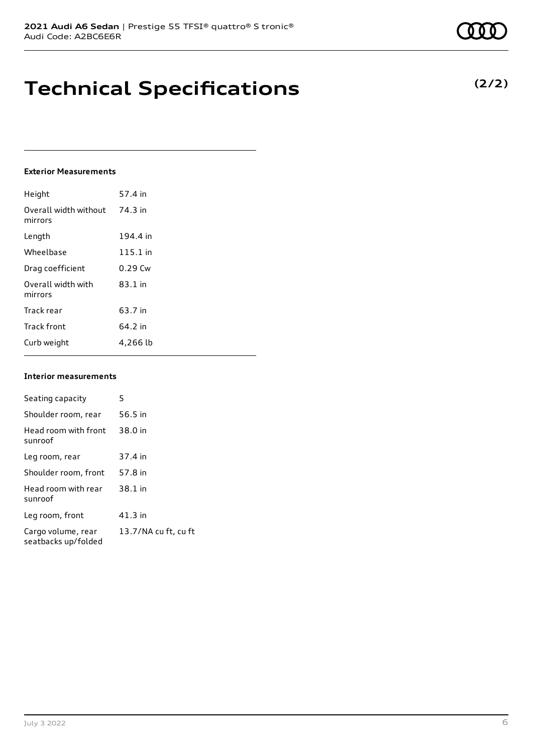# **Technical Specifications**

### **Exterior Measurements**

| Height                           | 57.4 in   |
|----------------------------------|-----------|
| Overall width without<br>mirrors | 74.3 in   |
| Length                           | 194.4 in  |
| Wheelbase                        | 115.1 in  |
| Drag coefficient                 | $0.29$ Cw |
| Overall width with<br>mirrors    | $83.1$ in |
| Track rear                       | 63.7 in   |
| <b>Track front</b>               | 64.2 in   |
| Curb weight                      | 4,266 lb  |

#### **Interior measurements**

| Seating capacity                          | 5                    |
|-------------------------------------------|----------------------|
| Shoulder room, rear                       | 56.5 in              |
| Head room with front<br>sunroof           | 38.0 in              |
| Leg room, rear                            | 37.4 in              |
| Shoulder room, front                      | 57.8 in              |
| Head room with rear<br>sunroof            | 38.1 in              |
| Leg room, front                           | $41.3$ in            |
| Cargo volume, rear<br>seatbacks up/folded | 13.7/NA cu ft, cu ft |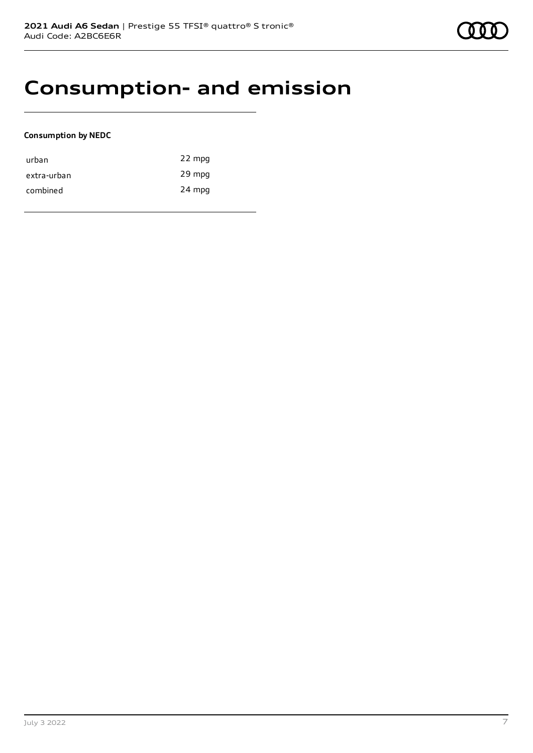### **Consumption- and emission**

### **Consumption by NEDC**

| urban       | 22 mpg |
|-------------|--------|
| extra-urban | 29 mpg |
| combined    | 24 mpg |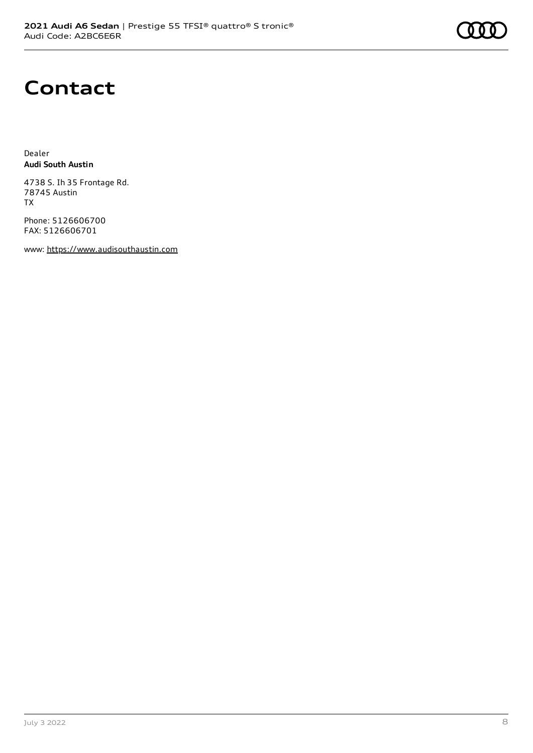# **Contact**

Dealer **Audi South Austin**

4738 S. Ih 35 Frontage Rd. 78745 Austin TX

Phone: 5126606700 FAX: 5126606701

www: [https://www.audisouthaustin.com](https://www.audisouthaustin.com/)